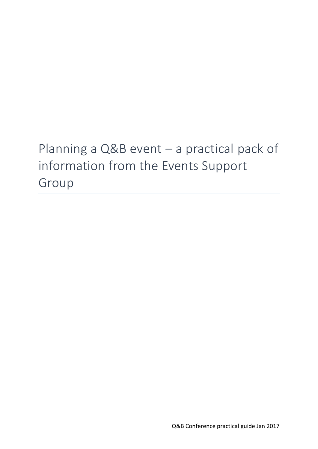# Planning a Q&B event – a practical pack of information from the Events Support Group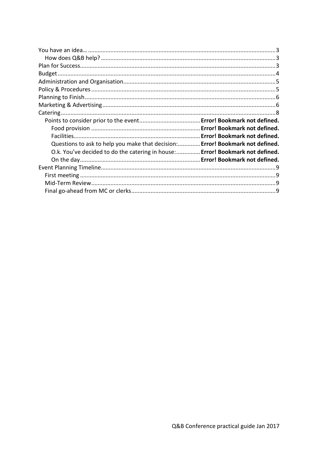| Questions to ask to help you make that decision: Error! Bookmark not defined. |  |
|-------------------------------------------------------------------------------|--|
| O.k. You've decided to do the catering in house: Error! Bookmark not defined. |  |
|                                                                               |  |
|                                                                               |  |
|                                                                               |  |
|                                                                               |  |
|                                                                               |  |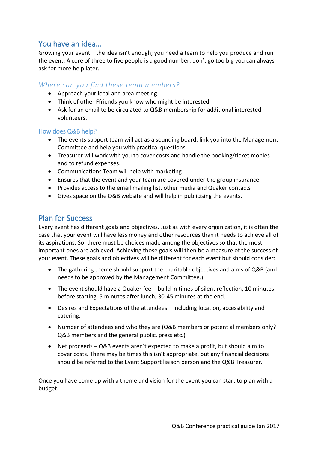## You have an idea…

Growing your event – the idea isn't enough; you need a team to help you produce and run the event. A core of three to five people is a good number; don't go too big you can always ask for more help later.

## *Where can you find these team members?*

- Approach your local and area meeting
- Think of other Ffriends you know who might be interested.
- Ask for an email to be circulated to Q&B membership for additional interested volunteers.

### How does Q&B help?

- The events support team will act as a sounding board, link you into the Management Committee and help you with practical questions.
- Treasurer will work with you to cover costs and handle the booking/ticket monies and to refund expenses.
- Communications Team will help with marketing
- Ensures that the event and your team are covered under the group insurance
- Provides access to the email mailing list, other media and Quaker contacts
- Gives space on the Q&B website and will help in publicising the events.

## Plan for Success

Every event has different goals and objectives. Just as with every organization, it is often the case that your event will have less money and other resources than it needs to achieve all of its aspirations. So, there must be choices made among the objectives so that the most important ones are achieved. Achieving those goals will then be a measure of the success of your event. These goals and objectives will be different for each event but should consider:

- The gathering theme should support the charitable objectives and aims of Q&B (and needs to be approved by the Management Committee.)
- The event should have a Quaker feel build in times of silent reflection, 10 minutes before starting, 5 minutes after lunch, 30-45 minutes at the end.
- Desires and Expectations of the attendees including location, accessibility and catering.
- Number of attendees and who they are (Q&B members or potential members only? Q&B members and the general public, press etc.)
- Net proceeds Q&B events aren't expected to make a profit, but should aim to cover costs. There may be times this isn't appropriate, but any financial decisions should be referred to the Event Support liaison person and the Q&B Treasurer.

Once you have come up with a theme and vision for the event you can start to plan with a budget.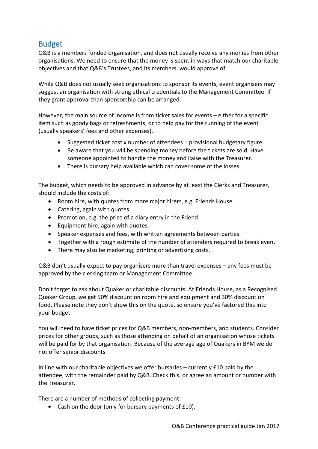## Budget

Q&B is a members funded organisation, and does not usually receive any monies from other organisations. We need to ensure that the money is spent in ways that match our charitable objectives and that Q&B's Trustees, and its members, would approve of.

While Q&B does not usually seek organisations to sponsor its events, event organisers may suggest an organisation with strong ethical credentials to the Management Committee. If they grant approval than sponsorship can be arranged.

However, the main source of income is from ticket sales for events – either for a specific item such as goody bags or refreshments, or to help pay for the running of the event (usually speakers' fees and other expenses).

- Suggested ticket cost x number of attendees = provisional budgetary figure.
- Be aware that you will be spending money before the tickets are sold. Have someone appointed to handle the money and liaise with the Treasurer.
- There is bursary help available which can cover some of the losses.

The budget, which needs to be approved in advance by at least the Clerks and Treasurer, should include the costs of:

- Room hire, with quotes from more major hirers, e.g. Friends House.
- Catering, again with quotes.
- Promotion, e.g. the price of a diary entry in the Friend.
- Equipment hire, again with quotes.
- Speaker expenses and fees, with written agreements between parties.
- Together with a rough estimate of the number of attenders required to break even.
- There may also be marketing, printing or advertising costs.

Q&B don't usually expect to pay organisers more than travel expenses – any fees must be approved by the clerking team or Management Committee.

Don't forget to ask about Quaker or charitable discounts. At Friends House, as a Recognised Quaker Group, we get 50% discount on room hire and equipment and 30% discount on food. Please note they don't show this on the quote, so ensure you've factored this into your budget.

You will need to have ticket prices for Q&B members, non-members, and students. Consider prices for other groups, such as those attending on behalf of an organisation whose tickets will be paid for by that organisation. Because of the average age of Quakers in BYM we do not offer senior discounts.

In line with our charitable objectives we offer bursaries – currently £10 paid by the attendee, with the remainder paid by Q&B. Check this, or agree an amount or number with the Treasurer.

There are a number of methods of collecting payment:

Cash on the door (only for bursary payments of £10).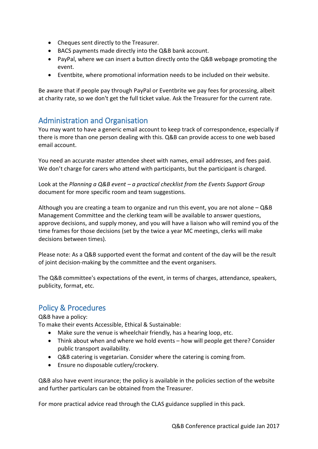- Cheques sent directly to the Treasurer.
- BACS payments made directly into the Q&B bank account.
- PayPal, where we can insert a button directly onto the Q&B webpage promoting the event.
- Eventbite, where promotional information needs to be included on their website.

Be aware that if people pay through PayPal or Eventbrite we pay fees for processing, albeit at charity rate, so we don't get the full ticket value. Ask the Treasurer for the current rate.

## Administration and Organisation

You may want to have a generic email account to keep track of correspondence, especially if there is more than one person dealing with this. Q&B can provide access to one web based email account.

You need an accurate master attendee sheet with names, email addresses, and fees paid. We don't charge for carers who attend with participants, but the participant is charged.

Look at the *Planning a Q&B event – a practical checklist from the Events Support Group* document for more specific room and team suggestions.

Although you are creating a team to organize and run this event, you are not alone – Q&B Management Committee and the clerking team will be available to answer questions, approve decisions, and supply money, and you will have a liaison who will remind you of the time frames for those decisions (set by the twice a year MC meetings, clerks will make decisions between times).

Please note: As a Q&B supported event the format and content of the day will be the result of joint decision-making by the committee and the event organisers.

The Q&B committee's expectations of the event, in terms of charges, attendance, speakers, publicity, format, etc.

## Policy & Procedures

Q&B have a policy:

To make their events Accessible, Ethical & Sustainable:

- Make sure the venue is wheelchair friendly, has a hearing loop, etc.
- Think about when and where we hold events how will people get there? Consider public transport availability.
- Q&B catering is vegetarian. Consider where the catering is coming from.
- Ensure no disposable cutlery/crockery.

Q&B also have event insurance; the policy is available in the policies section of the website and further particulars can be obtained from the Treasurer.

For more practical advice read through the CLAS guidance supplied in this pack.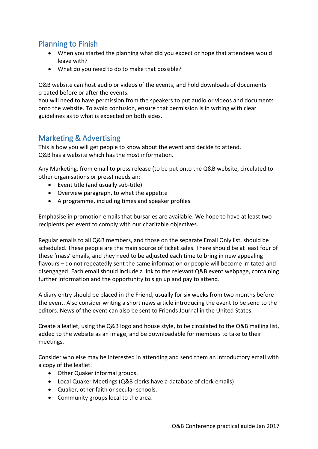# Planning to Finish

- When you started the planning what did you expect or hope that attendees would leave with?
- What do you need to do to make that possible?

Q&B website can host audio or videos of the events, and hold downloads of documents created before or after the events.

You will need to have permission from the speakers to put audio or videos and documents onto the website. To avoid confusion, ensure that permission is in writing with clear guidelines as to what is expected on both sides.

# Marketing & Advertising

This is how you will get people to know about the event and decide to attend. Q&B has a website which has the most information.

Any Marketing, from email to press release (to be put onto the Q&B website, circulated to other organisations or press) needs an:

- Event title (and usually sub-title)
- Overview paragraph, to whet the appetite
- A programme, including times and speaker profiles

Emphasise in promotion emails that bursaries are available. We hope to have at least two recipients per event to comply with our charitable objectives.

Regular emails to all Q&B members, and those on the separate Email Only list, should be scheduled. These people are the main source of ticket sales. There should be at least four of these 'mass' emails, and they need to be adjusted each time to bring in new appealing flavours – do not repeatedly sent the same information or people will become irritated and disengaged. Each email should include a link to the relevant Q&B event webpage, containing further information and the opportunity to sign up and pay to attend.

A diary entry should be placed in the Friend, usually for six weeks from two months before the event. Also consider writing a short news article introducing the event to be send to the editors. News of the event can also be sent to Friends Journal in the United States.

Create a leaflet, using the Q&B logo and house style, to be circulated to the Q&B mailing list, added to the website as an image, and be downloadable for members to take to their meetings.

Consider who else may be interested in attending and send them an introductory email with a copy of the leaflet:

- Other Quaker informal groups.
- Local Quaker Meetings (Q&B clerks have a database of clerk emails).
- Quaker, other faith or secular schools.
- Community groups local to the area.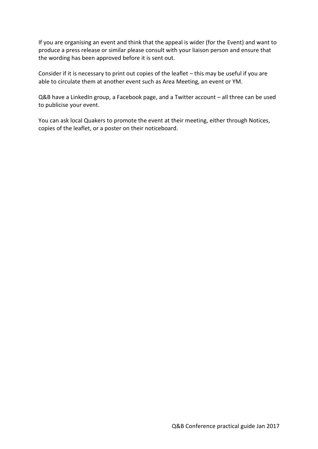If you are organising an event and think that the appeal is wider (for the Event) and want to produce a press release or similar please consult with your liaison person and ensure that the wording has been approved before it is sent out.

Consider if it is necessary to print out copies of the leaflet – this may be useful if you are able to circulate them at another event such as Area Meeting, an event or YM.

Q&B have a LinkedIn group, a Facebook page, and a Twitter account – all three can be used to publicise your event.

You can ask local Quakers to promote the event at their meeting, either through Notices, copies of the leaflet, or a poster on their noticeboard.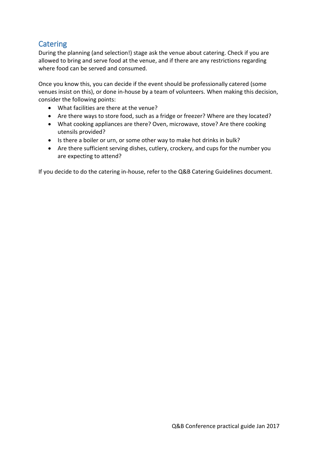# **Catering**

During the planning (and selection!) stage ask the venue about catering. Check if you are allowed to bring and serve food at the venue, and if there are any restrictions regarding where food can be served and consumed.

Once you know this, you can decide if the event should be professionally catered (some venues insist on this), or done in-house by a team of volunteers. When making this decision, consider the following points:

- What facilities are there at the venue?
- Are there ways to store food, such as a fridge or freezer? Where are they located?
- What cooking appliances are there? Oven, microwave, stove? Are there cooking utensils provided?
- Is there a boiler or urn, or some other way to make hot drinks in bulk?
- Are there sufficient serving dishes, cutlery, crockery, and cups for the number you are expecting to attend?

If you decide to do the catering in-house, refer to the Q&B Catering Guidelines document.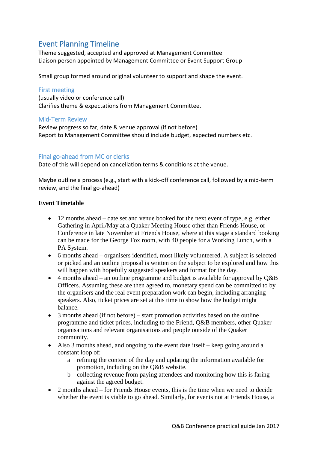# Event Planning Timeline

Theme suggested, accepted and approved at Management Committee Liaison person appointed by Management Committee or Event Support Group

Small group formed around original volunteer to support and shape the event.

### First meeting

(usually video or conference call) Clarifies theme & expectations from Management Committee.

#### Mid-Term Review

Review progress so far, date & venue approval (if not before) Report to Management Committee should include budget, expected numbers etc.

### Final go-ahead from MC or clerks

Date of this will depend on cancellation terms & conditions at the venue.

Maybe outline a process (e.g., start with a kick-off conference call, followed by a mid-term review, and the final go-ahead)

#### **Event Timetable**

- 12 months ahead date set and venue booked for the next event of type, e.g. either Gathering in April/May at a Quaker Meeting House other than Friends House, or Conference in late November at Friends House, where at this stage a standard booking can be made for the George Fox room, with 40 people for a Working Lunch, with a PA System.
- 6 months ahead organisers identified, most likely volunteered. A subject is selected or picked and an outline proposal is written on the subject to be explored and how this will happen with hopefully suggested speakers and format for the day.
- $\bullet$  4 months ahead an outline programme and budget is available for approval by O&B Officers. Assuming these are then agreed to, monetary spend can be committed to by the organisers and the real event preparation work can begin, including arranging speakers. Also, ticket prices are set at this time to show how the budget might balance.
- 3 months ahead (if not before) start promotion activities based on the outline programme and ticket prices, including to the Friend, Q&B members, other Quaker organisations and relevant organisations and people outside of the Quaker community.
- Also 3 months ahead, and ongoing to the event date itself keep going around a constant loop of:
	- a refining the content of the day and updating the information available for promotion, including on the Q&B website.
	- b collecting revenue from paying attendees and monitoring how this is faring against the agreed budget.
- 2 months ahead for Friends House events, this is the time when we need to decide whether the event is viable to go ahead. Similarly, for events not at Friends House, a